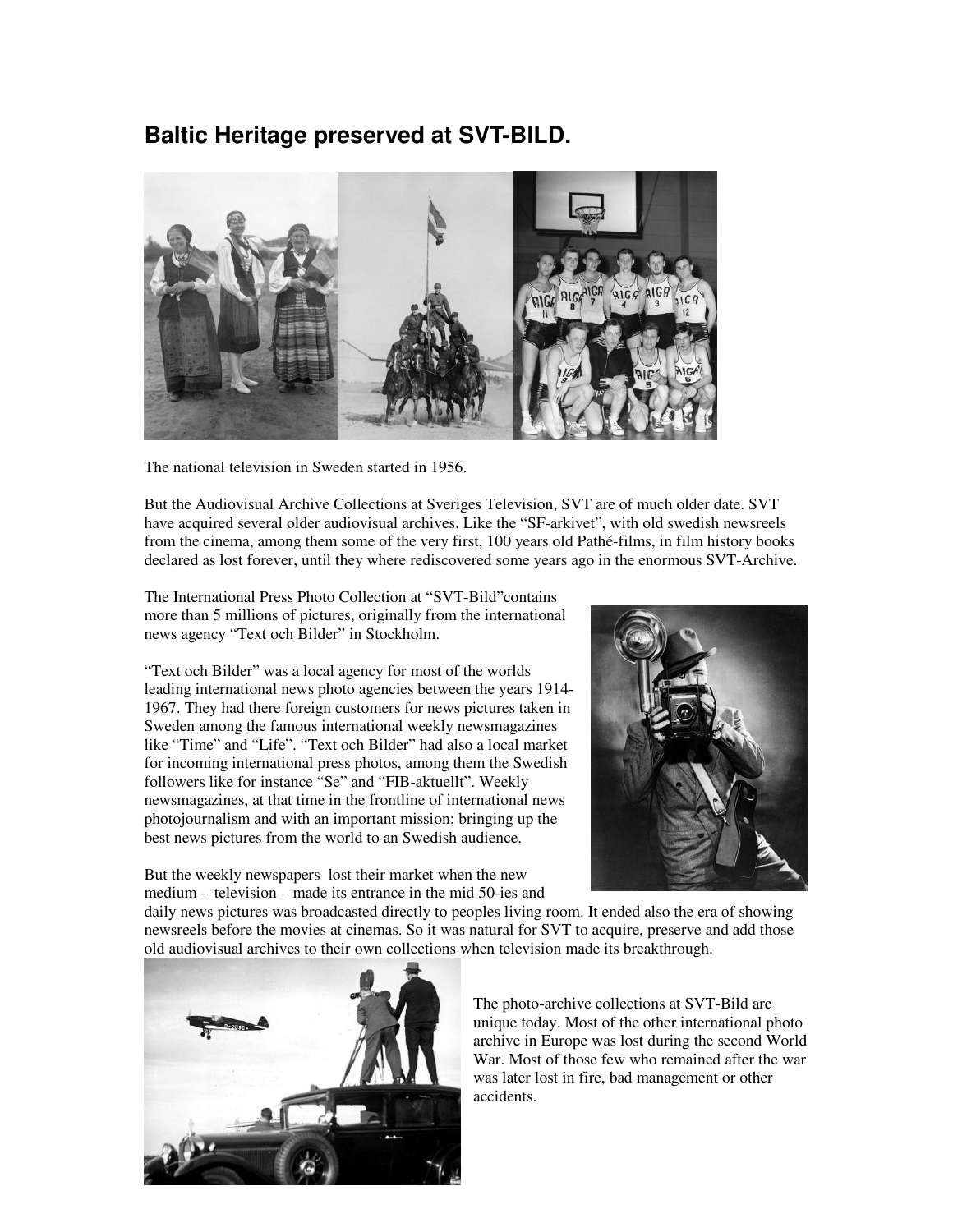## **Baltic Heritage preserved at SVT-BILD.**



The national television in Sweden started in 1956.

But the Audiovisual Archive Collections at Sveriges Television, SVT are of much older date. SVT have acquired several older audiovisual archives. Like the "SF-arkivet", with old swedish newsreels from the cinema, among them some of the very first, 100 years old Pathé-films, in film history books declared as lost forever, until they where rediscovered some years ago in the enormous SVT-Archive.

The International Press Photo Collection at "SVT-Bild"contains more than 5 millions of pictures, originally from the international news agency "Text och Bilder" in Stockholm.

"Text och Bilder" was a local agency for most of the worlds leading international news photo agencies between the years 1914- 1967. They had there foreign customers for news pictures taken in Sweden among the famous international weekly newsmagazines like "Time" and "Life". "Text och Bilder" had also a local market for incoming international press photos, among them the Swedish followers like for instance "Se" and "FIB-aktuellt". Weekly newsmagazines, at that time in the frontline of international news photojournalism and with an important mission; bringing up the best news pictures from the world to an Swedish audience.



But the weekly newspapers lost their market when the new medium - television – made its entrance in the mid 50-ies and

daily news pictures was broadcasted directly to peoples living room. It ended also the era of showing newsreels before the movies at cinemas. So it was natural for SVT to acquire, preserve and add those old audiovisual archives to their own collections when television made its breakthrough.



The photo-archive collections at SVT-Bild are unique today. Most of the other international photo archive in Europe was lost during the second World War. Most of those few who remained after the war was later lost in fire, bad management or other accidents.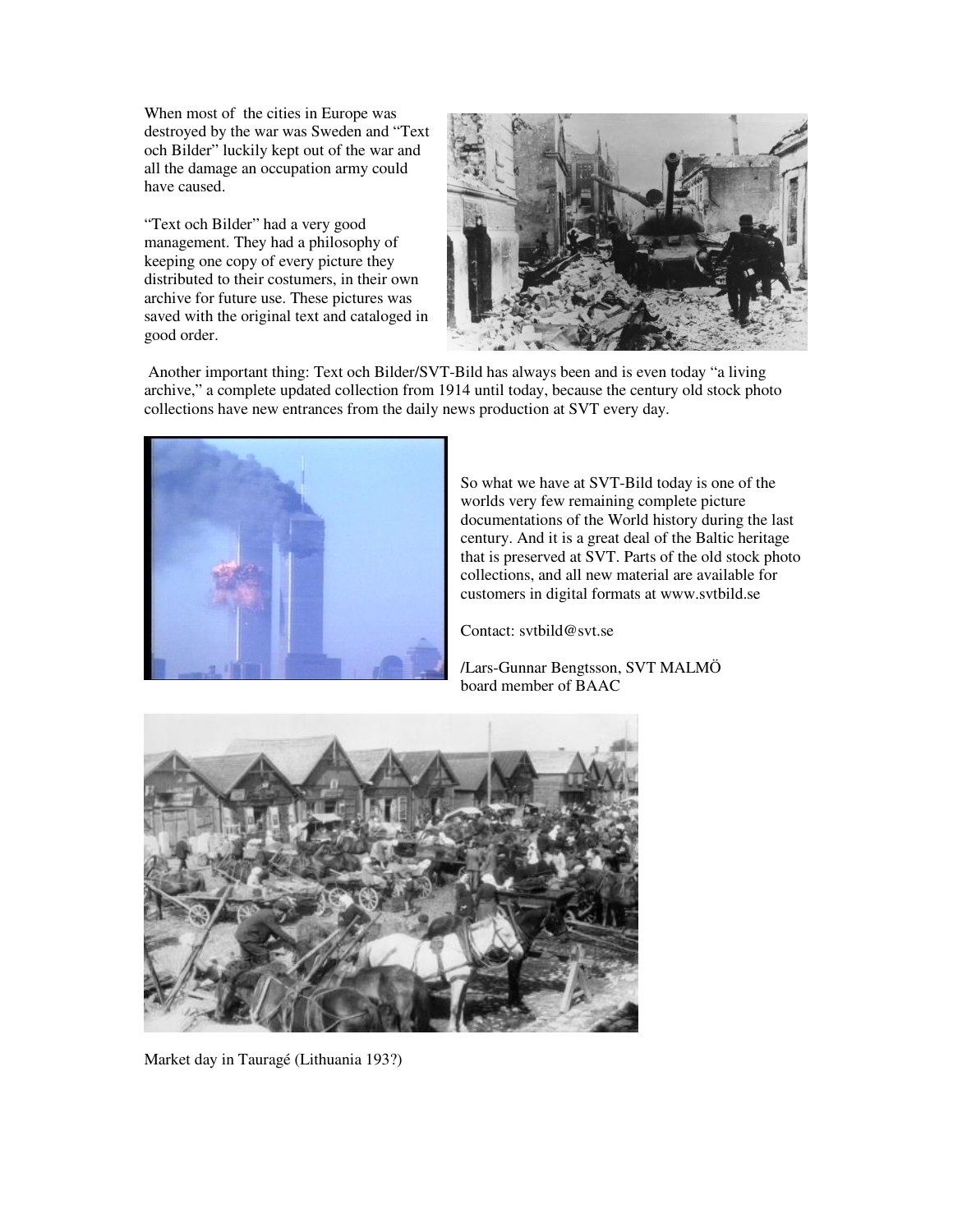When most of the cities in Europe was destroyed by the war was Sweden and "Text och Bilder" luckily kept out of the war and all the damage an occupation army could have caused.

"Text och Bilder" had a very good management. They had a philosophy of keeping one copy of every picture they distributed to their costumers, in their own archive for future use. These pictures was saved with the original text and cataloged in good order.



 Another important thing: Text och Bilder/SVT-Bild has always been and is even today "a living archive," a complete updated collection from 1914 until today, because the century old stock photo collections have new entrances from the daily news production at SVT every day.



So what we have at SVT-Bild today is one of the worlds very few remaining complete picture documentations of the World history during the last century. And it is a great deal of the Baltic heritage that is preserved at SVT. Parts of the old stock photo collections, and all new material are available for customers in digital formats at www.svtbild.se

Contact: svtbild@svt.se

/Lars-Gunnar Bengtsson, SVT MALMÖ board member of BAAC



Market day in Tauragé (Lithuania 193?)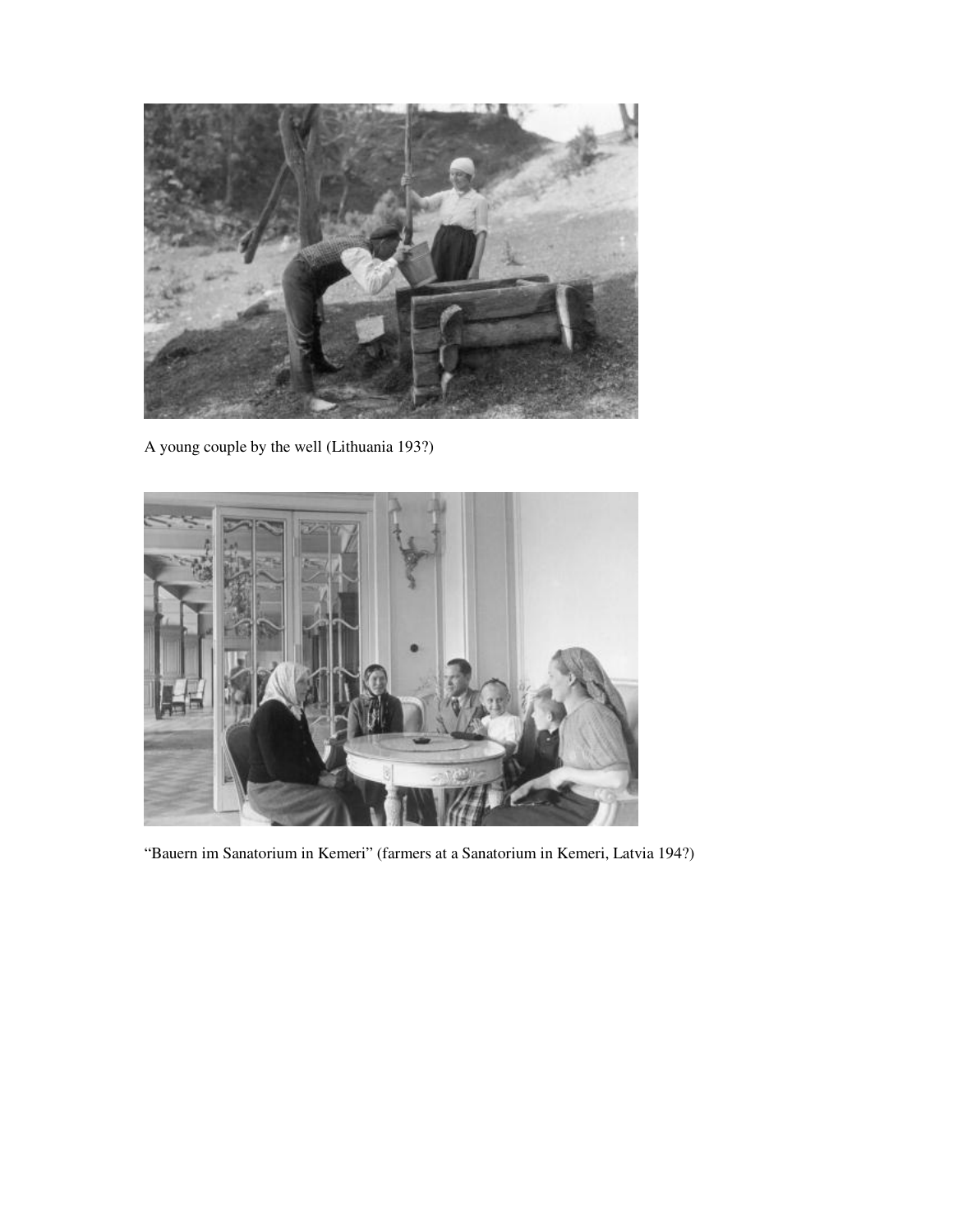

A young couple by the well (Lithuania 193?)



"Bauern im Sanatorium in Kemeri" (farmers at a Sanatorium in Kemeri, Latvia 194?)